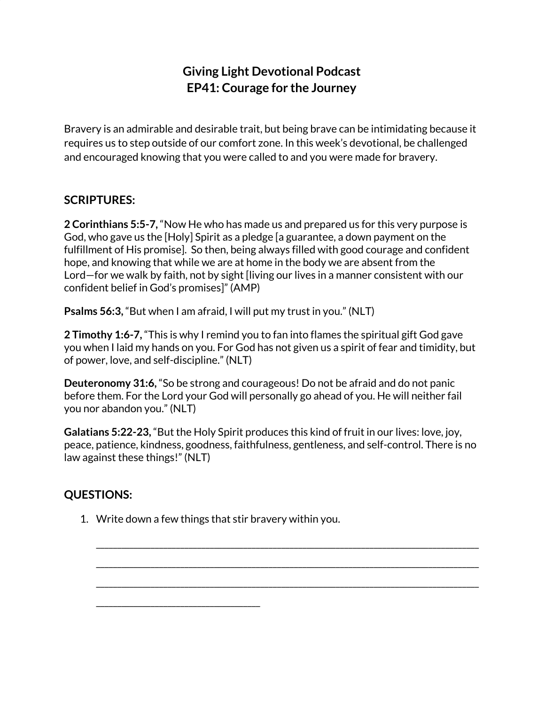## **Giving Light Devotional Podcast EP41: Courage for the Journey**

Bravery is an admirable and desirable trait, but being brave can be intimidating because it requires us to step outside of our comfort zone. In this week's devotional, be challenged and encouraged knowing that you were called to and you were made for bravery.

## **SCRIPTURES:**

**2 Corinthians 5:5-7,** "Now He who has made us and prepared us for this very purpose is God, who gave us the [Holy] Spirit as a pledge [a guarantee, a down payment on the fulfillment of His promise]. So then, being always filled with good courage and confident hope, and knowing that while we are at home in the body we are absent from the Lord—for we walk by faith, not by sight [living our lives in a manner consistent with our confident belief in God's promises]" (AMP)

**Psalms 56:3,** "But when I am afraid, I will put my trust in you." (NLT)

**2 Timothy 1:6-7,** "This is why I remind you to fan into flames the spiritual gift God gave you when I laid my hands on you. For God has not given us a spirit of fear and timidity, but of power, love, and self-discipline." (NLT)

**Deuteronomy 31:6,** "So be strong and courageous! Do not be afraid and do not panic before them. For the Lord your God will personally go ahead of you. He will neither fail you nor abandon you." (NLT)

**Galatians 5:22-23,** "But the Holy Spirit produces this kind of fruit in our lives: love, joy, peace, patience, kindness, goodness, faithfulness, gentleness, and self-control. There is no law against these things!" (NLT)

\_\_\_\_\_\_\_\_\_\_\_\_\_\_\_\_\_\_\_\_\_\_\_\_\_\_\_\_\_\_\_\_\_\_\_\_\_\_\_\_\_\_\_\_\_\_\_\_\_\_\_\_\_\_\_\_\_\_\_\_\_\_\_\_\_\_\_\_\_\_\_\_\_\_\_\_\_\_\_\_\_\_\_\_\_\_\_\_\_\_\_

\_\_\_\_\_\_\_\_\_\_\_\_\_\_\_\_\_\_\_\_\_\_\_\_\_\_\_\_\_\_\_\_\_\_\_\_\_\_\_\_\_\_\_\_\_\_\_\_\_\_\_\_\_\_\_\_\_\_\_\_\_\_\_\_\_\_\_\_\_\_\_\_\_\_\_\_\_\_\_\_\_\_\_\_\_\_\_\_\_\_\_

\_\_\_\_\_\_\_\_\_\_\_\_\_\_\_\_\_\_\_\_\_\_\_\_\_\_\_\_\_\_\_\_\_\_\_\_\_\_\_\_\_\_\_\_\_\_\_\_\_\_\_\_\_\_\_\_\_\_\_\_\_\_\_\_\_\_\_\_\_\_\_\_\_\_\_\_\_\_\_\_\_\_\_\_\_\_\_\_\_\_\_

## **QUESTIONS:**

1. Write down a few things that stir bravery within you.

\_\_\_\_\_\_\_\_\_\_\_\_\_\_\_\_\_\_\_\_\_\_\_\_\_\_\_\_\_\_\_\_\_\_\_\_\_\_\_